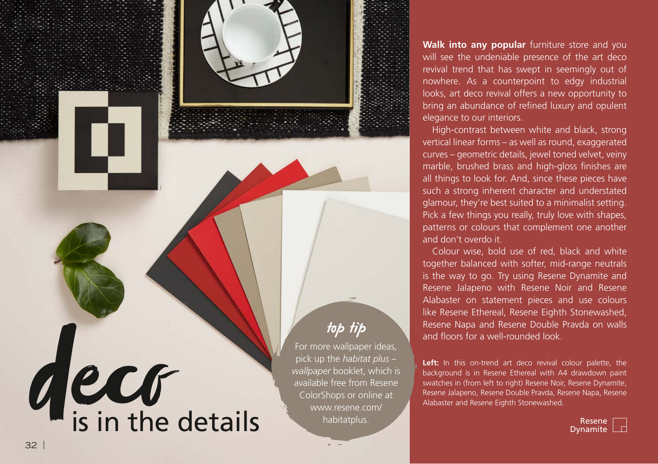

**Walk into any popular** furniture store and you will see the undeniable presence of the art deco revival trend that has swept in seemingly out of nowhere. As a counterpoint to edgy industrial looks, art deco revival offers a new opportunity to bring an abundance of refined luxury and opulent elegance to our interiors.

High-contrast between white and black, strong vertical linear forms – as well as round, exaggerated curves – geometric details, jewel toned velvet, veiny marble, brushed brass and high-gloss finishes are all things to look for. And, since these pieces have such a strong inherent character and understated glamour, they're best suited to a minimalist setting. Pick a few things you really, truly love with shapes, patterns or colours that complement one another and don't overdo it.

Colour wise, bold use of red, black and white together balanced with softer, mid-range neutrals is the way to go. Try using Resene Dynamite and Resene Jalapeno with Resene Noir and Resene Alabaster on statement pieces and use colours like Resene Ethereal, Resene Eighth Stonewashed, Resene Napa and Resene Double Pravda on walls and floors for a well-rounded look.

**Left:** In this on-trend art deco revival colour palette, the background is in Resene Ethereal with A4 drawdown paint swatches in (from left to right) Resene Noir, Resene Dynamite, Resene Jalapeno, Resene Double Pravda, Resene Napa, Resene Alabaster and Resene Eighth Stonewashed.

Dynamite